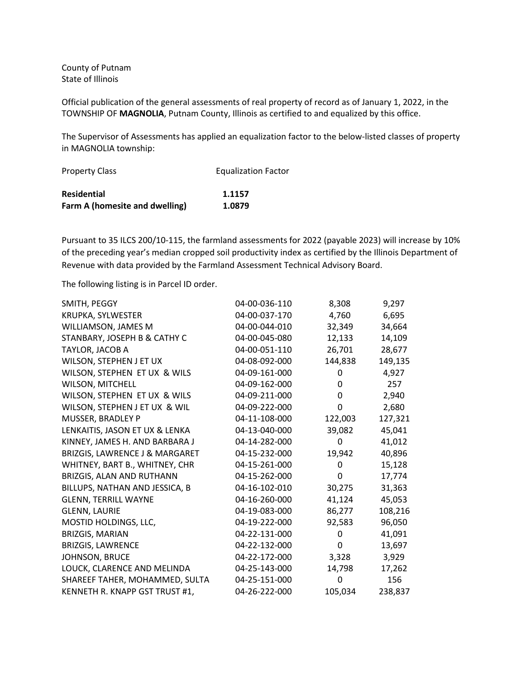County of Putnam State of Illinois

Official publication of the general assessments of real property of record as of January 1, 2022, in the TOWNSHIP OF **MAGNOLIA**, Putnam County, Illinois as certified to and equalized by this office.

The Supervisor of Assessments has applied an equalization factor to the below-listed classes of property in MAGNOLIA township:

| <b>Property Class</b>          | <b>Equalization Factor</b> |
|--------------------------------|----------------------------|
| Residential                    | 1.1157                     |
| Farm A (homesite and dwelling) | 1.0879                     |

Pursuant to 35 ILCS 200/10-115, the farmland assessments for 2022 (payable 2023) will increase by 10% of the preceding year's median cropped soil productivity index as certified by the Illinois Department of Revenue with data provided by the Farmland Assessment Technical Advisory Board.

The following listing is in Parcel ID order.

| SMITH, PEGGY                   | 04-00-036-110 | 8,308   | 9,297   |
|--------------------------------|---------------|---------|---------|
| KRUPKA, SYLWESTER              | 04-00-037-170 | 4,760   | 6,695   |
| WILLIAMSON, JAMES M            | 04-00-044-010 | 32,349  | 34,664  |
| STANBARY, JOSEPH B & CATHY C   | 04-00-045-080 | 12,133  | 14,109  |
| TAYLOR, JACOB A                | 04-00-051-110 | 26,701  | 28,677  |
| WILSON, STEPHEN J ET UX        | 04-08-092-000 | 144,838 | 149,135 |
| WILSON, STEPHEN ET UX & WILS   | 04-09-161-000 | 0       | 4,927   |
| WILSON, MITCHELL               | 04-09-162-000 | 0       | 257     |
| WILSON, STEPHEN ET UX & WILS   | 04-09-211-000 | 0       | 2,940   |
| WILSON, STEPHEN J ET UX & WIL  | 04-09-222-000 | 0       | 2,680   |
| MUSSER, BRADLEY P              | 04-11-108-000 | 122,003 | 127,321 |
| LENKAITIS, JASON ET UX & LENKA | 04-13-040-000 | 39,082  | 45,041  |
| KINNEY, JAMES H. AND BARBARA J | 04-14-282-000 | 0       | 41,012  |
| BRIZGIS, LAWRENCE J & MARGARET | 04-15-232-000 | 19,942  | 40,896  |
| WHITNEY, BART B., WHITNEY, CHR | 04-15-261-000 | 0       | 15,128  |
| BRIZGIS, ALAN AND RUTHANN      | 04-15-262-000 | 0       | 17,774  |
| BILLUPS, NATHAN AND JESSICA, B | 04-16-102-010 | 30,275  | 31,363  |
| <b>GLENN, TERRILL WAYNE</b>    | 04-16-260-000 | 41,124  | 45,053  |
| <b>GLENN, LAURIE</b>           | 04-19-083-000 | 86,277  | 108,216 |
| MOSTID HOLDINGS, LLC,          | 04-19-222-000 | 92,583  | 96,050  |
| <b>BRIZGIS, MARIAN</b>         | 04-22-131-000 | 0       | 41,091  |
| <b>BRIZGIS, LAWRENCE</b>       | 04-22-132-000 | 0       | 13,697  |
| JOHNSON, BRUCE                 | 04-22-172-000 | 3,328   | 3,929   |
| LOUCK, CLARENCE AND MELINDA    | 04-25-143-000 | 14,798  | 17,262  |
| SHAREEF TAHER, MOHAMMED, SULTA | 04-25-151-000 | 0       | 156     |
| KENNETH R. KNAPP GST TRUST #1, | 04-26-222-000 | 105,034 | 238,837 |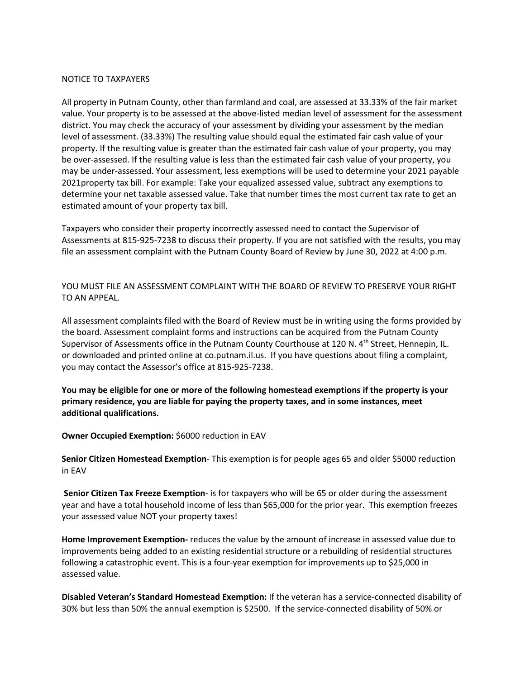## NOTICE TO TAXPAYERS

All property in Putnam County, other than farmland and coal, are assessed at 33.33% of the fair market value. Your property is to be assessed at the above-listed median level of assessment for the assessment district. You may check the accuracy of your assessment by dividing your assessment by the median level of assessment. (33.33%) The resulting value should equal the estimated fair cash value of your property. If the resulting value is greater than the estimated fair cash value of your property, you may be over-assessed. If the resulting value is less than the estimated fair cash value of your property, you may be under-assessed. Your assessment, less exemptions will be used to determine your 2021 payable 2021property tax bill. For example: Take your equalized assessed value, subtract any exemptions to determine your net taxable assessed value. Take that number times the most current tax rate to get an estimated amount of your property tax bill.

Taxpayers who consider their property incorrectly assessed need to contact the Supervisor of Assessments at 815-925-7238 to discuss their property. If you are not satisfied with the results, you may file an assessment complaint with the Putnam County Board of Review by June 30, 2022 at 4:00 p.m.

YOU MUST FILE AN ASSESSMENT COMPLAINT WITH THE BOARD OF REVIEW TO PRESERVE YOUR RIGHT TO AN APPEAL.

All assessment complaints filed with the Board of Review must be in writing using the forms provided by the board. Assessment complaint forms and instructions can be acquired from the Putnam County Supervisor of Assessments office in the Putnam County Courthouse at 120 N. 4<sup>th</sup> Street, Hennepin, IL. or downloaded and printed online at co.putnam.il.us. If you have questions about filing a complaint, you may contact the Assessor's office at 815-925-7238.

**You may be eligible for one or more of the following homestead exemptions if the property is your primary residence, you are liable for paying the property taxes, and in some instances, meet additional qualifications.**

**Owner Occupied Exemption: \$6000 reduction in EAV** 

**Senior Citizen Homestead Exemption**- This exemption is for people ages 65 and older \$5000 reduction in EAV

**Senior Citizen Tax Freeze Exemption**- is for taxpayers who will be 65 or older during the assessment year and have a total household income of less than \$65,000 for the prior year. This exemption freezes your assessed value NOT your property taxes!

**Home Improvement Exemption-** reduces the value by the amount of increase in assessed value due to improvements being added to an existing residential structure or a rebuilding of residential structures following a catastrophic event. This is a four-year exemption for improvements up to \$25,000 in assessed value.

**Disabled Veteran's Standard Homestead Exemption:** If the veteran has a service-connected disability of 30% but less than 50% the annual exemption is \$2500. If the service-connected disability of 50% or